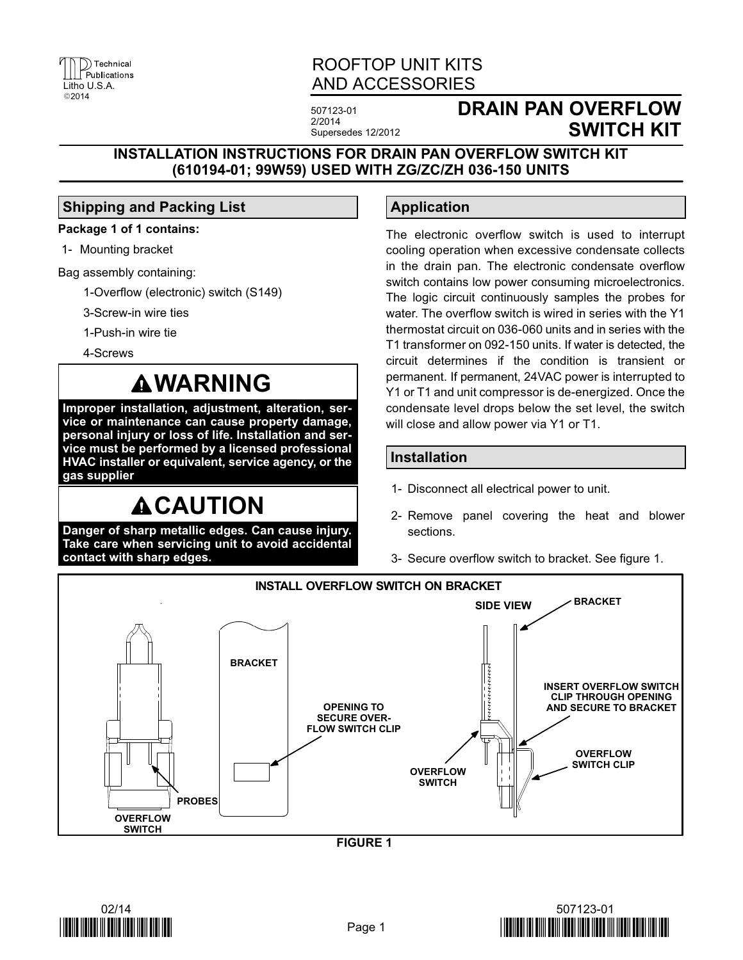

### ROOFTOP UNIT KITS AND ACCESSORIES

507123-01 2/2014 Supersedes 12/2012

### **DRAIN PAN OVERFLOW SWITCH KIT**

### **INSTALLATION INSTRUCTIONS FOR DRAIN PAN OVERFLOW SWITCH KIT (610194-01; 99W59) USED WITH ZG/ZC/ZH 036-150 UNITS**

### **Shipping and Packing List**

### **Package 1 of 1 contains:**

1- Mounting bracket

Bag assembly containing:

- 1-Overflow (electronic) switch (S149)
- 3-Screw-in wire ties
- 1-Push-in wire tie
- 4-Screws

## **WARNING**

**Improper installation, adjustment, alteration, service or maintenance can cause property damage, personal injury or loss of life. Installation and service must be performed by a licensed professional HVAC installer or equivalent, service agency, or the gas supplier**

# **ACAUTION**

**Danger of sharp metallic edges. Can cause injury. Take care when servicing unit to avoid accidental contact with sharp edges.**

### **Application**

The electronic overflow switch is used to interrupt cooling operation when excessive condensate collects in the drain pan. The electronic condensate overflow switch contains low power consuming microelectronics. The logic circuit continuously samples the probes for water. The overflow switch is wired in series with the Y1 thermostat circuit on 036-060 units and in series with the T1 transformer on 092-150 units. If water is detected, the circuit determines if the condition is transient or permanent. If permanent, 24VAC power is interrupted to Y1 or T1 and unit compressor is de-energized. Once the condensate level drops below the set level, the switch will close and allow power via Y1 or T1.

### **Installation**

- 1- Disconnect all electrical power to unit.
- 2- Remove panel covering the heat and blower sections.
- 3- Secure overflow switch to bracket. See figure 1.



**FIGURE 1**



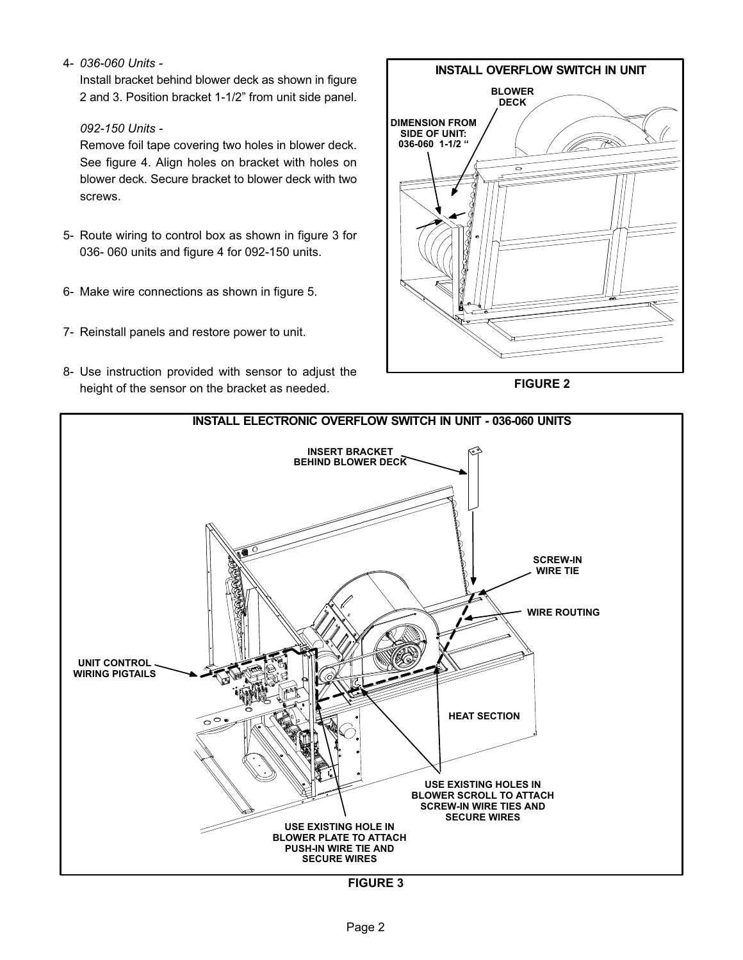4- *036-060 Units -*

Install bracket behind blower deck as shown in figure 2 and 3. Position bracket 1-1/2" from unit side panel.

#### *092-150 Units -*

Remove foil tape covering two holes in blower deck. See figure [4.](#page-2-0) Align holes on bracket with holes on blower deck. Secure bracket to blower deck with two screws.

- 5- Route wiring to control box as shown in figure 3 for 036- 060 units and figure [4](#page-2-0) for 092-150 units.
- 6- Make wire connections as shown in figure [5.](#page-2-0)
- 7- Reinstall panels and restore power to unit.
- 8- Use instruction provided with sensor to adjust the height of the sensor on the bracket as needed.



**FIGURE 2**



**FIGURE 3**